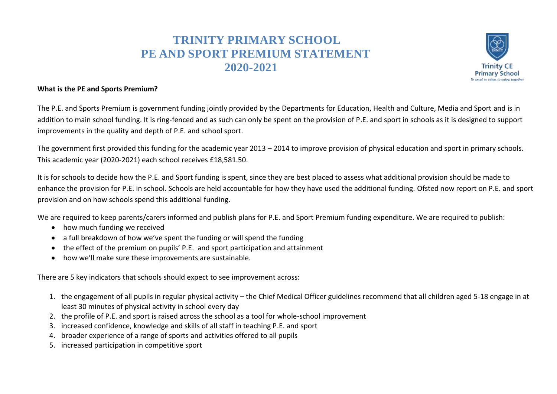## **TRINITY PRIMARY SCHOOL PE AND SPORT PREMIUM STATEMENT 2020-2021**



## **What is the PE and Sports Premium?**

The P.E. and Sports Premium is government funding jointly provided by the Departments for Education, Health and Culture, Media and Sport and is in addition to main school funding. It is ring-fenced and as such can only be spent on the provision of P.E. and sport in schools as it is designed to support improvements in the quality and depth of P.E. and school sport.

The government first provided this funding for the academic year 2013 – 2014 to improve provision of physical education and sport in primary schools. This academic year (2020-2021) each school receives £18,581.50.

It is for schools to decide how the P.E. and Sport funding is spent, since they are best placed to assess what additional provision should be made to enhance the provision for P.E. in school. Schools are held accountable for how they have used the additional funding. Ofsted now report on P.E. and sport provision and on how schools spend this additional funding.

We are required to keep parents/carers informed and publish plans for P.E. and Sport Premium funding expenditure. We are required to publish:

- how much funding we received
- a full breakdown of how we've spent the funding or will spend the funding
- the effect of the premium on pupils' P.E. and sport participation and attainment
- how we'll make sure these improvements are sustainable.

There are 5 key indicators that schools should expect to see improvement across:

- 1. the engagement of all pupils in regular physical activity the Chief Medical Officer guidelines recommend that all children aged 5-18 engage in at least 30 minutes of physical activity in school every day
- 2. the profile of P.E. and sport is raised across the school as a tool for whole-school improvement
- 3. increased confidence, knowledge and skills of all staff in teaching P.E. and sport
- 4. broader experience of a range of sports and activities offered to all pupils
- 5. increased participation in competitive sport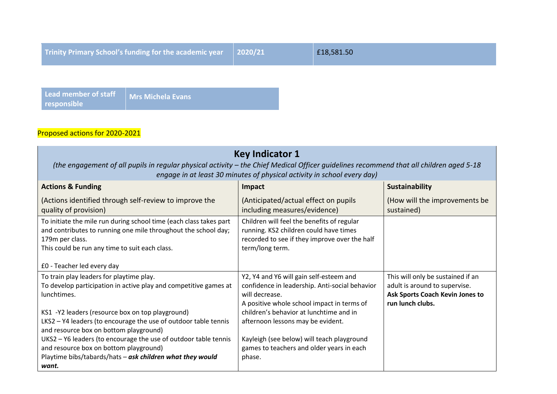| Trinity Primary School's funding for the academic year $\vert$ 2020/21 |  | £18,581.50 |
|------------------------------------------------------------------------|--|------------|
|------------------------------------------------------------------------|--|------------|

**Lead member of staff responsible Mrs Michela Evans**

## Proposed actions for 2020-2021

| <b>Key Indicator 1</b><br>(the engagement of all pupils in regular physical activity – the Chief Medical Officer guidelines recommend that all children aged 5-18<br>engage in at least 30 minutes of physical activity in school every day)                                                                                                                                                                                                                                    |                                                                                                                                                                                                                                                                                                                                                |                                                                                                                           |  |
|---------------------------------------------------------------------------------------------------------------------------------------------------------------------------------------------------------------------------------------------------------------------------------------------------------------------------------------------------------------------------------------------------------------------------------------------------------------------------------|------------------------------------------------------------------------------------------------------------------------------------------------------------------------------------------------------------------------------------------------------------------------------------------------------------------------------------------------|---------------------------------------------------------------------------------------------------------------------------|--|
| <b>Actions &amp; Funding</b>                                                                                                                                                                                                                                                                                                                                                                                                                                                    | Impact                                                                                                                                                                                                                                                                                                                                         | Sustainability                                                                                                            |  |
| (Actions identified through self-review to improve the<br>quality of provision)                                                                                                                                                                                                                                                                                                                                                                                                 | (Anticipated/actual effect on pupils<br>including measures/evidence)                                                                                                                                                                                                                                                                           | (How will the improvements be<br>sustained)                                                                               |  |
| To initiate the mile run during school time (each class takes part<br>and contributes to running one mile throughout the school day;<br>179m per class.<br>This could be run any time to suit each class.<br>£0 - Teacher led every day                                                                                                                                                                                                                                         | Children will feel the benefits of regular<br>running. KS2 children could have times<br>recorded to see if they improve over the half<br>term/long term.                                                                                                                                                                                       |                                                                                                                           |  |
| To train play leaders for playtime play.<br>To develop participation in active play and competitive games at<br>lunchtimes.<br>KS1 -Y2 leaders (resource box on top playground)<br>LKS2 - Y4 leaders (to encourage the use of outdoor table tennis<br>and resource box on bottom playground)<br>UKS2 - Y6 leaders (to encourage the use of outdoor table tennis<br>and resource box on bottom playground)<br>Playtime bibs/tabards/hats - ask children what they would<br>want. | Y2, Y4 and Y6 will gain self-esteem and<br>confidence in leadership. Anti-social behavior<br>will decrease.<br>A positive whole school impact in terms of<br>children's behavior at lunchtime and in<br>afternoon lessons may be evident.<br>Kayleigh (see below) will teach playground<br>games to teachers and older years in each<br>phase. | This will only be sustained if an<br>adult is around to supervise.<br>Ask Sports Coach Kevin Jones to<br>run lunch clubs. |  |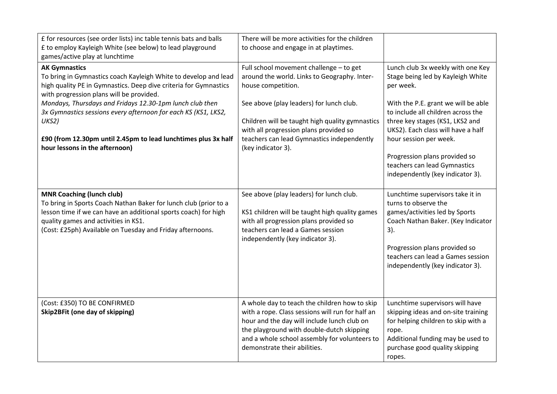| £ for resources (see order lists) inc table tennis bats and balls<br>£ to employ Kayleigh White (see below) to lead playground<br>games/active play at lunchtime                                                                                                                                                                                                                                                                                   | There will be more activities for the children<br>to choose and engage in at playtimes.                                                                                                                                                                                                                                    |                                                                                                                                                                                                                                                                                                                                                                          |
|----------------------------------------------------------------------------------------------------------------------------------------------------------------------------------------------------------------------------------------------------------------------------------------------------------------------------------------------------------------------------------------------------------------------------------------------------|----------------------------------------------------------------------------------------------------------------------------------------------------------------------------------------------------------------------------------------------------------------------------------------------------------------------------|--------------------------------------------------------------------------------------------------------------------------------------------------------------------------------------------------------------------------------------------------------------------------------------------------------------------------------------------------------------------------|
| <b>AK Gymnastics</b><br>To bring in Gymnastics coach Kayleigh White to develop and lead<br>high quality PE in Gymnastics. Deep dive criteria for Gymnastics<br>with progression plans will be provided.<br>Mondays, Thursdays and Fridays 12.30-1pm lunch club then<br>3x Gymnastics sessions every afternoon for each KS (KS1, LKS2,<br>UKS2)<br>£90 (from 12.30pm until 2.45pm to lead lunchtimes plus 3x half<br>hour lessons in the afternoon) | Full school movement challenge - to get<br>around the world. Links to Geography. Inter-<br>house competition.<br>See above (play leaders) for lunch club.<br>Children will be taught high quality gymnastics<br>with all progression plans provided so<br>teachers can lead Gymnastics independently<br>(key indicator 3). | Lunch club 3x weekly with one Key<br>Stage being led by Kayleigh White<br>per week.<br>With the P.E. grant we will be able<br>to include all children across the<br>three key stages (KS1, LKS2 and<br>UKS2). Each class will have a half<br>hour session per week.<br>Progression plans provided so<br>teachers can lead Gymnastics<br>independently (key indicator 3). |
| <b>MNR Coaching (lunch club)</b><br>To bring in Sports Coach Nathan Baker for lunch club (prior to a<br>lesson time if we can have an additional sports coach) for high<br>quality games and activities in KS1.<br>(Cost: £25ph) Available on Tuesday and Friday afternoons.                                                                                                                                                                       | See above (play leaders) for lunch club.<br>KS1 children will be taught high quality games<br>with all progression plans provided so<br>teachers can lead a Games session<br>independently (key indicator 3).                                                                                                              | Lunchtime supervisors take it in<br>turns to observe the<br>games/activities led by Sports<br>Coach Nathan Baker. (Key Indicator<br>3).<br>Progression plans provided so<br>teachers can lead a Games session<br>independently (key indicator 3).                                                                                                                        |
| (Cost: £350) TO BE CONFIRMED<br>Skip2BFit (one day of skipping)                                                                                                                                                                                                                                                                                                                                                                                    | A whole day to teach the children how to skip<br>with a rope. Class sessions will run for half an<br>hour and the day will include lunch club on<br>the playground with double-dutch skipping<br>and a whole school assembly for volunteers to<br>demonstrate their abilities.                                             | Lunchtime supervisors will have<br>skipping ideas and on-site training<br>for helping children to skip with a<br>rope.<br>Additional funding may be used to<br>purchase good quality skipping<br>ropes.                                                                                                                                                                  |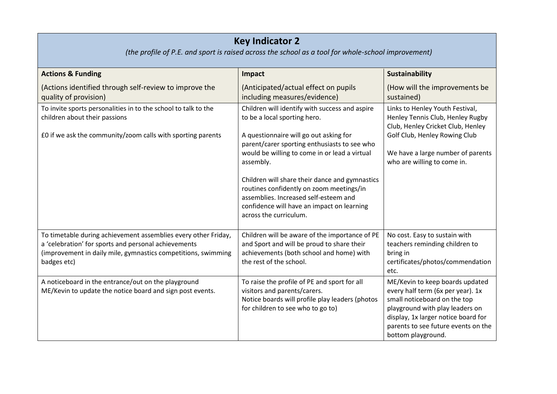## **Key Indicator 2**

*(the profile of P.E. and sport is raised across the school as a tool for whole-school improvement)*

| <b>Actions &amp; Funding</b>                                                                                                                                                                           | Impact                                                                                                                                                                                                                                                                                                                                                                                                                                                | <b>Sustainability</b>                                                                                                                                                                                                                       |
|--------------------------------------------------------------------------------------------------------------------------------------------------------------------------------------------------------|-------------------------------------------------------------------------------------------------------------------------------------------------------------------------------------------------------------------------------------------------------------------------------------------------------------------------------------------------------------------------------------------------------------------------------------------------------|---------------------------------------------------------------------------------------------------------------------------------------------------------------------------------------------------------------------------------------------|
| (Actions identified through self-review to improve the<br>quality of provision)                                                                                                                        | (Anticipated/actual effect on pupils<br>including measures/evidence)                                                                                                                                                                                                                                                                                                                                                                                  | (How will the improvements be<br>sustained)                                                                                                                                                                                                 |
| To invite sports personalities in to the school to talk to the<br>children about their passions<br>£0 if we ask the community/zoom calls with sporting parents                                         | Children will identify with success and aspire<br>to be a local sporting hero.<br>A questionnaire will go out asking for<br>parent/carer sporting enthusiasts to see who<br>would be willing to come in or lead a virtual<br>assembly.<br>Children will share their dance and gymnastics<br>routines confidently on zoom meetings/in<br>assemblies. Increased self-esteem and<br>confidence will have an impact on learning<br>across the curriculum. | Links to Henley Youth Festival,<br>Henley Tennis Club, Henley Rugby<br>Club, Henley Cricket Club, Henley<br>Golf Club, Henley Rowing Club<br>We have a large number of parents<br>who are willing to come in.                               |
| To timetable during achievement assemblies every other Friday,<br>a 'celebration' for sports and personal achievements<br>(improvement in daily mile, gymnastics competitions, swimming<br>badges etc) | Children will be aware of the importance of PE<br>and Sport and will be proud to share their<br>achievements (both school and home) with<br>the rest of the school.                                                                                                                                                                                                                                                                                   | No cost. Easy to sustain with<br>teachers reminding children to<br>bring in<br>certificates/photos/commendation<br>etc.                                                                                                                     |
| A noticeboard in the entrance/out on the playground<br>ME/Kevin to update the notice board and sign post events.                                                                                       | To raise the profile of PE and sport for all<br>visitors and parents/carers.<br>Notice boards will profile play leaders (photos<br>for children to see who to go to)                                                                                                                                                                                                                                                                                  | ME/Kevin to keep boards updated<br>every half term (6x per year). 1x<br>small noticeboard on the top<br>playground with play leaders on<br>display, 1x larger notice board for<br>parents to see future events on the<br>bottom playground. |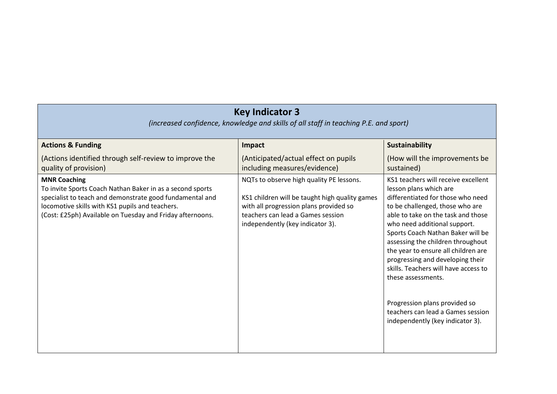| <b>Key Indicator 3</b><br>(increased confidence, knowledge and skills of all staff in teaching P.E. and sport)                                                                                                                                               |                                                                                                                                                                                                               |                                                                                                                                                                                                                                                                                                                                                                                                                                                                                                                                          |  |
|--------------------------------------------------------------------------------------------------------------------------------------------------------------------------------------------------------------------------------------------------------------|---------------------------------------------------------------------------------------------------------------------------------------------------------------------------------------------------------------|------------------------------------------------------------------------------------------------------------------------------------------------------------------------------------------------------------------------------------------------------------------------------------------------------------------------------------------------------------------------------------------------------------------------------------------------------------------------------------------------------------------------------------------|--|
| <b>Actions &amp; Funding</b>                                                                                                                                                                                                                                 | Impact                                                                                                                                                                                                        | Sustainability                                                                                                                                                                                                                                                                                                                                                                                                                                                                                                                           |  |
| (Actions identified through self-review to improve the<br>quality of provision)                                                                                                                                                                              | (Anticipated/actual effect on pupils<br>including measures/evidence)                                                                                                                                          | (How will the improvements be<br>sustained)                                                                                                                                                                                                                                                                                                                                                                                                                                                                                              |  |
| <b>MNR Coaching</b><br>To invite Sports Coach Nathan Baker in as a second sports<br>specialist to teach and demonstrate good fundamental and<br>locomotive skills with KS1 pupils and teachers.<br>(Cost: £25ph) Available on Tuesday and Friday afternoons. | NQTs to observe high quality PE lessons.<br>KS1 children will be taught high quality games<br>with all progression plans provided so<br>teachers can lead a Games session<br>independently (key indicator 3). | KS1 teachers will receive excellent<br>lesson plans which are<br>differentiated for those who need<br>to be challenged, those who are<br>able to take on the task and those<br>who need additional support.<br>Sports Coach Nathan Baker will be<br>assessing the children throughout<br>the year to ensure all children are<br>progressing and developing their<br>skills. Teachers will have access to<br>these assessments.<br>Progression plans provided so<br>teachers can lead a Games session<br>independently (key indicator 3). |  |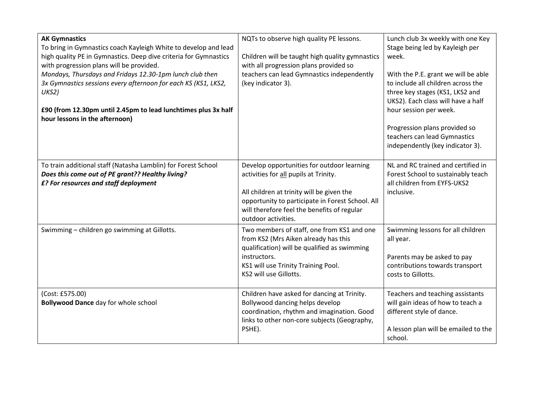| <b>AK Gymnastics</b><br>To bring in Gymnastics coach Kayleigh White to develop and lead<br>high quality PE in Gymnastics. Deep dive criteria for Gymnastics<br>with progression plans will be provided.<br>Mondays, Thursdays and Fridays 12.30-1pm lunch club then<br>3x Gymnastics sessions every afternoon for each KS (KS1, LKS2,<br>UKS2)<br>£90 (from 12.30pm until 2.45pm to lead lunchtimes plus 3x half<br>hour lessons in the afternoon) | NQTs to observe high quality PE lessons.<br>Children will be taught high quality gymnastics<br>with all progression plans provided so<br>teachers can lead Gymnastics independently<br>(key indicator 3).                                                  | Lunch club 3x weekly with one Key<br>Stage being led by Kayleigh per<br>week.<br>With the P.E. grant we will be able<br>to include all children across the<br>three key stages (KS1, LKS2 and<br>UKS2). Each class will have a half<br>hour session per week.<br>Progression plans provided so<br>teachers can lead Gymnastics<br>independently (key indicator 3). |
|----------------------------------------------------------------------------------------------------------------------------------------------------------------------------------------------------------------------------------------------------------------------------------------------------------------------------------------------------------------------------------------------------------------------------------------------------|------------------------------------------------------------------------------------------------------------------------------------------------------------------------------------------------------------------------------------------------------------|--------------------------------------------------------------------------------------------------------------------------------------------------------------------------------------------------------------------------------------------------------------------------------------------------------------------------------------------------------------------|
| To train additional staff (Natasha Lamblin) for Forest School<br>Does this come out of PE grant?? Healthy living?<br>£? For resources and staff deployment                                                                                                                                                                                                                                                                                         | Develop opportunities for outdoor learning<br>activities for all pupils at Trinity.<br>All children at trinity will be given the<br>opportunity to participate in Forest School. All<br>will therefore feel the benefits of regular<br>outdoor activities. | NL and RC trained and certified in<br>Forest School to sustainably teach<br>all children from EYFS-UKS2<br>inclusive.                                                                                                                                                                                                                                              |
| Swimming - children go swimming at Gillotts.                                                                                                                                                                                                                                                                                                                                                                                                       | Two members of staff, one from KS1 and one<br>from KS2 (Mrs Aiken already has this<br>qualification) will be qualified as swimming<br>instructors.<br>KS1 will use Trinity Training Pool.<br>KS2 will use Gillotts.                                        | Swimming lessons for all children<br>all year.<br>Parents may be asked to pay<br>contributions towards transport<br>costs to Gillotts.                                                                                                                                                                                                                             |
| (Cost: £575.00)<br><b>Bollywood Dance</b> day for whole school                                                                                                                                                                                                                                                                                                                                                                                     | Children have asked for dancing at Trinity.<br>Bollywood dancing helps develop<br>coordination, rhythm and imagination. Good<br>links to other non-core subjects (Geography,<br>PSHE).                                                                     | Teachers and teaching assistants<br>will gain ideas of how to teach a<br>different style of dance.<br>A lesson plan will be emailed to the<br>school.                                                                                                                                                                                                              |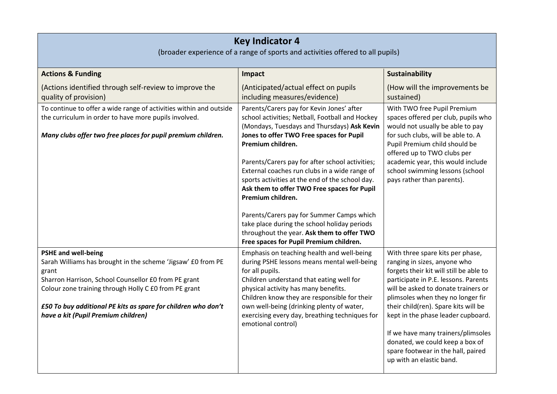| <b>Key Indicator 4</b><br>(broader experience of a range of sports and activities offered to all pupils)                                                                                                                                                                                                                     |                                                                                                                                                                                                                                                                                                                                                                                                                                                                                                                                      |                                                                                                                                                                                                                                                                                                                                                                                        |  |
|------------------------------------------------------------------------------------------------------------------------------------------------------------------------------------------------------------------------------------------------------------------------------------------------------------------------------|--------------------------------------------------------------------------------------------------------------------------------------------------------------------------------------------------------------------------------------------------------------------------------------------------------------------------------------------------------------------------------------------------------------------------------------------------------------------------------------------------------------------------------------|----------------------------------------------------------------------------------------------------------------------------------------------------------------------------------------------------------------------------------------------------------------------------------------------------------------------------------------------------------------------------------------|--|
| <b>Actions &amp; Funding</b>                                                                                                                                                                                                                                                                                                 | Impact                                                                                                                                                                                                                                                                                                                                                                                                                                                                                                                               | <b>Sustainability</b>                                                                                                                                                                                                                                                                                                                                                                  |  |
| (Actions identified through self-review to improve the<br>quality of provision)                                                                                                                                                                                                                                              | (Anticipated/actual effect on pupils<br>including measures/evidence)                                                                                                                                                                                                                                                                                                                                                                                                                                                                 | (How will the improvements be<br>sustained)                                                                                                                                                                                                                                                                                                                                            |  |
| To continue to offer a wide range of activities within and outside<br>the curriculum in order to have more pupils involved.<br>Many clubs offer two free places for pupil premium children.                                                                                                                                  | Parents/Carers pay for Kevin Jones' after<br>school activities; Netball, Football and Hockey<br>(Mondays, Tuesdays and Thursdays) Ask Kevin<br>Jones to offer TWO Free spaces for Pupil<br>Premium children.<br>Parents/Carers pay for after school activities;<br>External coaches run clubs in a wide range of<br>sports activities at the end of the school day.<br>Ask them to offer TWO Free spaces for Pupil<br>Premium children.<br>Parents/Carers pay for Summer Camps which<br>take place during the school holiday periods | With TWO free Pupil Premium<br>spaces offered per club, pupils who<br>would not usually be able to pay<br>for such clubs, will be able to. A<br>Pupil Premium child should be<br>offered up to TWO clubs per<br>academic year, this would include<br>school swimming lessons (school<br>pays rather than parents).                                                                     |  |
|                                                                                                                                                                                                                                                                                                                              | throughout the year. Ask them to offer TWO<br>Free spaces for Pupil Premium children.                                                                                                                                                                                                                                                                                                                                                                                                                                                |                                                                                                                                                                                                                                                                                                                                                                                        |  |
| <b>PSHE and well-being</b><br>Sarah Williams has brought in the scheme 'Jigsaw' £0 from PE<br>grant<br>Sharron Harrison, School Counsellor £0 from PE grant<br>Colour zone training through Holly C £0 from PE grant<br>£50 To buy additional PE kits as spare for children who don't<br>have a kit (Pupil Premium children) | Emphasis on teaching health and well-being<br>during PSHE lessons means mental well-being<br>for all pupils.<br>Children understand that eating well for<br>physical activity has many benefits.<br>Children know they are responsible for their<br>own well-being (drinking plenty of water,<br>exercising every day, breathing techniques for<br>emotional control)                                                                                                                                                                | With three spare kits per phase,<br>ranging in sizes, anyone who<br>forgets their kit will still be able to<br>participate in P.E. lessons. Parents<br>will be asked to donate trainers or<br>plimsoles when they no longer fir<br>their child(ren). Spare kits will be<br>kept in the phase leader cupboard.<br>If we have many trainers/plimsoles<br>donated, we could keep a box of |  |
|                                                                                                                                                                                                                                                                                                                              |                                                                                                                                                                                                                                                                                                                                                                                                                                                                                                                                      | spare footwear in the hall, paired<br>up with an elastic band.                                                                                                                                                                                                                                                                                                                         |  |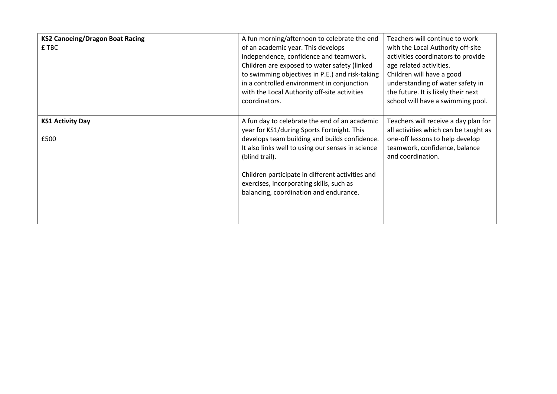| <b>KS2 Canoeing/Dragon Boat Racing</b><br>£ TBC | A fun morning/afternoon to celebrate the end<br>of an academic year. This develops<br>independence, confidence and teamwork.<br>Children are exposed to water safety (linked<br>to swimming objectives in P.E.) and risk-taking<br>in a controlled environment in conjunction<br>with the Local Authority off-site activities<br>coordinators.                | Teachers will continue to work<br>with the Local Authority off-site<br>activities coordinators to provide<br>age related activities.<br>Children will have a good<br>understanding of water safety in<br>the future. It is likely their next<br>school will have a swimming pool. |
|-------------------------------------------------|---------------------------------------------------------------------------------------------------------------------------------------------------------------------------------------------------------------------------------------------------------------------------------------------------------------------------------------------------------------|-----------------------------------------------------------------------------------------------------------------------------------------------------------------------------------------------------------------------------------------------------------------------------------|
| <b>KS1 Activity Day</b><br>£500                 | A fun day to celebrate the end of an academic<br>year for KS1/during Sports Fortnight. This<br>develops team building and builds confidence.<br>It also links well to using our senses in science<br>(blind trail).<br>Children participate in different activities and<br>exercises, incorporating skills, such as<br>balancing, coordination and endurance. | Teachers will receive a day plan for<br>all activities which can be taught as<br>one-off lessons to help develop<br>teamwork, confidence, balance<br>and coordination.                                                                                                            |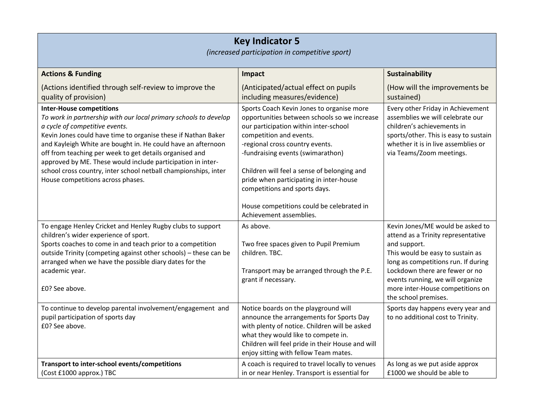| <b>Key Indicator 5</b><br>(increased participation in competitive sport)                                                                                                                                                                                                                                                                                                                                                                                                                                 |                                                                                                                                                                                                                                                                                                                                                                                                                                          |                                                                                                                                                                                                                                                                                                     |  |
|----------------------------------------------------------------------------------------------------------------------------------------------------------------------------------------------------------------------------------------------------------------------------------------------------------------------------------------------------------------------------------------------------------------------------------------------------------------------------------------------------------|------------------------------------------------------------------------------------------------------------------------------------------------------------------------------------------------------------------------------------------------------------------------------------------------------------------------------------------------------------------------------------------------------------------------------------------|-----------------------------------------------------------------------------------------------------------------------------------------------------------------------------------------------------------------------------------------------------------------------------------------------------|--|
| <b>Actions &amp; Funding</b>                                                                                                                                                                                                                                                                                                                                                                                                                                                                             | Impact                                                                                                                                                                                                                                                                                                                                                                                                                                   | <b>Sustainability</b>                                                                                                                                                                                                                                                                               |  |
| (Actions identified through self-review to improve the<br>quality of provision)                                                                                                                                                                                                                                                                                                                                                                                                                          | (Anticipated/actual effect on pupils<br>including measures/evidence)                                                                                                                                                                                                                                                                                                                                                                     | (How will the improvements be<br>sustained)                                                                                                                                                                                                                                                         |  |
| <b>Inter-House competitions</b><br>To work in partnership with our local primary schools to develop<br>a cycle of competitive events.<br>Kevin Jones could have time to organise these if Nathan Baker<br>and Kayleigh White are bought in. He could have an afternoon<br>off from teaching per week to get details organised and<br>approved by ME. These would include participation in inter-<br>school cross country, inter school netball championships, inter<br>House competitions across phases. | Sports Coach Kevin Jones to organise more<br>opportunities between schools so we increase<br>our participation within inter-school<br>competition and events.<br>-regional cross country events.<br>-fundraising events (swimarathon)<br>Children will feel a sense of belonging and<br>pride when participating in inter-house<br>competitions and sports days.<br>House competitions could be celebrated in<br>Achievement assemblies. | Every other Friday in Achievement<br>assemblies we will celebrate our<br>children's achievements in<br>sports/other. This is easy to sustain<br>whether it is in live assemblies or<br>via Teams/Zoom meetings.                                                                                     |  |
| To engage Henley Cricket and Henley Rugby clubs to support<br>children's wider experience of sport.<br>Sports coaches to come in and teach prior to a competition<br>outside Trinity (competing against other schools) - these can be<br>arranged when we have the possible diary dates for the<br>academic year.<br>£0? See above.                                                                                                                                                                      | As above.<br>Two free spaces given to Pupil Premium<br>children. TBC.<br>Transport may be arranged through the P.E.<br>grant if necessary.                                                                                                                                                                                                                                                                                               | Kevin Jones/ME would be asked to<br>attend as a Trinity representative<br>and support.<br>This would be easy to sustain as<br>long as competitions run. If during<br>Lockdown there are fewer or no<br>events running, we will organize<br>more inter-House competitions on<br>the school premises. |  |
| To continue to develop parental involvement/engagement and<br>pupil participation of sports day<br>£0? See above.                                                                                                                                                                                                                                                                                                                                                                                        | Notice boards on the playground will<br>announce the arrangements for Sports Day<br>with plenty of notice. Children will be asked<br>what they would like to compete in.<br>Children will feel pride in their House and will<br>enjoy sitting with fellow Team mates.                                                                                                                                                                    | Sports day happens every year and<br>to no additional cost to Trinity.                                                                                                                                                                                                                              |  |
| Transport to inter-school events/competitions<br>(Cost £1000 approx.) TBC                                                                                                                                                                                                                                                                                                                                                                                                                                | A coach is required to travel locally to venues<br>in or near Henley. Transport is essential for                                                                                                                                                                                                                                                                                                                                         | As long as we put aside approx<br>£1000 we should be able to                                                                                                                                                                                                                                        |  |